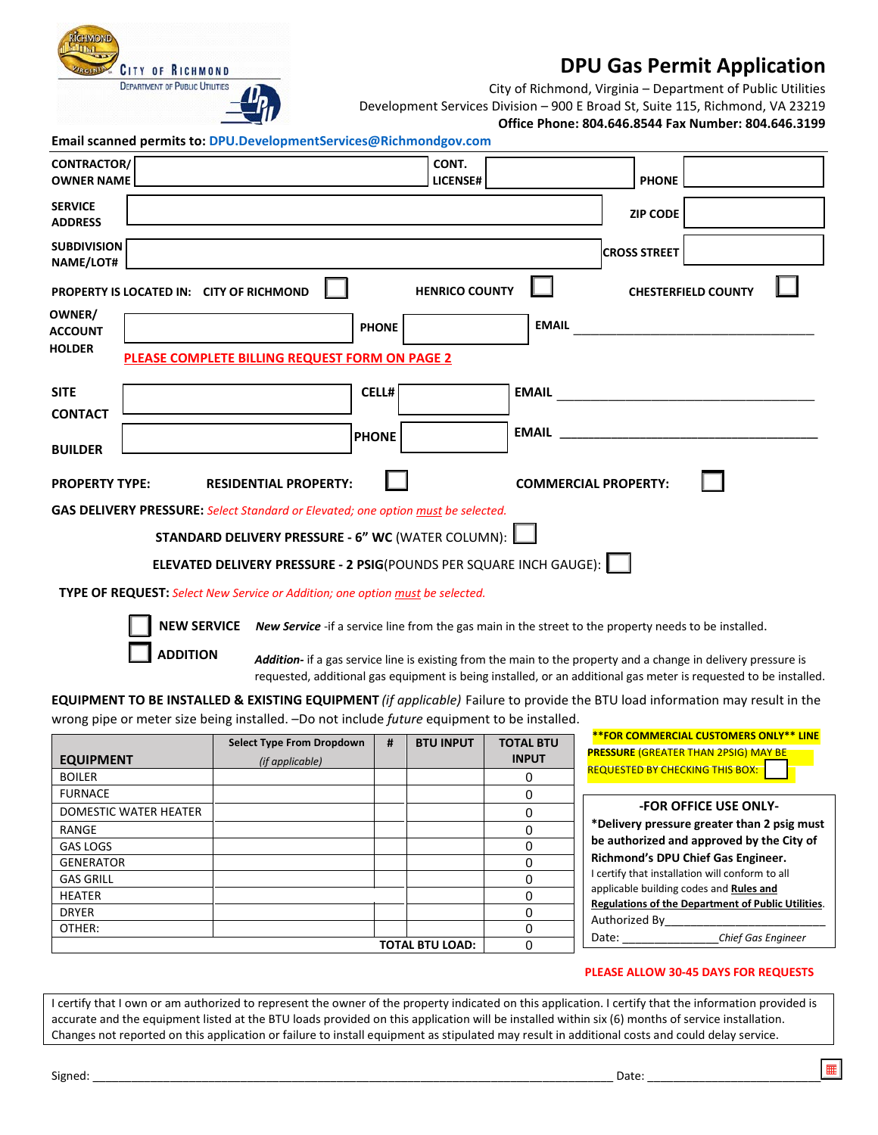

## **DPU Gas Permit Application**

City of Richmond, Virginia – Department of Public Utilities

Development Services Division – 900 E Broad St, Suite 115, Richmond, VA 23219

**Office Phone: 804.646.8544 Fax Number: 804.646.3199**

| Email scanned permits to: DPU.DevelopmentServices@Richmondgov.com |  |  |  |  |  |
|-------------------------------------------------------------------|--|--|--|--|--|
|-------------------------------------------------------------------|--|--|--|--|--|

| <b>OWNER NAME</b><br><b>LICENSE#</b><br><b>PHONE</b><br><b>SERVICE</b><br><b>ZIP CODE</b><br><b>ADDRESS</b><br><b>SUBDIVISION</b><br><b>CROSS STREET</b><br>NAME/LOT#<br><b>HENRICO COUNTY</b><br>PROPERTY IS LOCATED IN: CITY OF RICHMOND<br><b>CHESTERFIELD COUNTY</b><br>OWNER/<br><b>EMAIL</b><br><b>PHONE</b><br><b>ACCOUNT</b><br><b>HOLDER</b><br>PLEASE COMPLETE BILLING REQUEST FORM ON PAGE 2<br>CELL#<br><b>SITE</b><br><b>CONTACT</b><br><b>EMAIL EMAIL</b><br><b>PHONE</b><br><b>BUILDER</b><br><b>PROPERTY TYPE:</b><br><b>COMMERCIAL PROPERTY:</b><br><b>RESIDENTIAL PROPERTY:</b> |
|---------------------------------------------------------------------------------------------------------------------------------------------------------------------------------------------------------------------------------------------------------------------------------------------------------------------------------------------------------------------------------------------------------------------------------------------------------------------------------------------------------------------------------------------------------------------------------------------------|
|                                                                                                                                                                                                                                                                                                                                                                                                                                                                                                                                                                                                   |
|                                                                                                                                                                                                                                                                                                                                                                                                                                                                                                                                                                                                   |
|                                                                                                                                                                                                                                                                                                                                                                                                                                                                                                                                                                                                   |
|                                                                                                                                                                                                                                                                                                                                                                                                                                                                                                                                                                                                   |
|                                                                                                                                                                                                                                                                                                                                                                                                                                                                                                                                                                                                   |
|                                                                                                                                                                                                                                                                                                                                                                                                                                                                                                                                                                                                   |
|                                                                                                                                                                                                                                                                                                                                                                                                                                                                                                                                                                                                   |
|                                                                                                                                                                                                                                                                                                                                                                                                                                                                                                                                                                                                   |
|                                                                                                                                                                                                                                                                                                                                                                                                                                                                                                                                                                                                   |
| <b>GAS DELIVERY PRESSURE:</b> Select Standard or Elevated; one option must be selected.                                                                                                                                                                                                                                                                                                                                                                                                                                                                                                           |
| <b>STANDARD DELIVERY PRESSURE - 6" WC (WATER COLUMN):</b>                                                                                                                                                                                                                                                                                                                                                                                                                                                                                                                                         |
| ELEVATED DELIVERY PRESSURE - 2 PSIG(POUNDS PER SQUARE INCH GAUGE):                                                                                                                                                                                                                                                                                                                                                                                                                                                                                                                                |
| <b>TYPE OF REQUEST:</b> Select New Service or Addition; one option must be selected.                                                                                                                                                                                                                                                                                                                                                                                                                                                                                                              |
| <b>NEW SERVICE</b> New Service -if a service line from the gas main in the street to the property needs to be installed.                                                                                                                                                                                                                                                                                                                                                                                                                                                                          |
| <b>ADDITION</b><br><b>Addition-</b> if a gas service line is existing from the main to the property and a change in delivery pressure is<br>requested, additional gas equipment is being installed, or an additional gas meter is requested to be installed.                                                                                                                                                                                                                                                                                                                                      |
| <b>EQUIPMENT TO BE INSTALLED &amp; EXISTING EQUIPMENT</b> (if applicable) Failure to provide the BTU load information may result in the                                                                                                                                                                                                                                                                                                                                                                                                                                                           |
| wrong pipe or meter size being installed. -Do not include future equipment to be installed.                                                                                                                                                                                                                                                                                                                                                                                                                                                                                                       |
| <b>**FOR COMMERCIAL CUSTOMERS ONLY** LINE</b><br><b>TOTAL BTU</b><br><b>Select Type From Dropdown</b><br><b>BTU INPUT</b><br>#<br><b>PRESSURE (GREATER THAN 2PSIG) MAY BE</b>                                                                                                                                                                                                                                                                                                                                                                                                                     |
| <b>INPUT</b><br><b>EQUIPMENT</b><br>(if applicable)<br><b>REQUESTED BY CHECKING THIS BOX:</b>                                                                                                                                                                                                                                                                                                                                                                                                                                                                                                     |
| <b>BOILER</b><br>0<br><b>FURNACE</b>                                                                                                                                                                                                                                                                                                                                                                                                                                                                                                                                                              |
| 0<br><b>-FOR OFFICE USE ONLY-</b><br>DOMESTIC WATER HEATER<br>$\Omega$                                                                                                                                                                                                                                                                                                                                                                                                                                                                                                                            |

| \TER HEATER            | <b>-FOR OFFICE USE ONLY-</b><br>*Delivery pressure greater than 2 psig must<br>be authorized and approved by the City of<br>Richmond's DPU Chief Gas Engineer.<br>I certify that installation will conform to all<br>applicable building codes and Rules and<br>Regulations of the Department of Public Utilities.<br>Authorized By |
|------------------------|-------------------------------------------------------------------------------------------------------------------------------------------------------------------------------------------------------------------------------------------------------------------------------------------------------------------------------------|
| <b>TOTAL BTU LOAD:</b> | Date:<br><b>Chief Gas Engineer</b>                                                                                                                                                                                                                                                                                                  |

## **PLEASE ALLOW 30-45 DAYS FOR REQUESTS**

I certify that I own or am authorized to represent the owner of the property indicated on this application. I certify that the information provided is accurate and the equipment listed at the BTU loads provided on this application will be installed within six (6) months of service installation. Changes not reported on this application or failure to install equipment as stipulated may result in additional costs and could delay service.

RANGE GAS LOGS GENERATOR GAS GRILL HEATER DRYER OTHER: